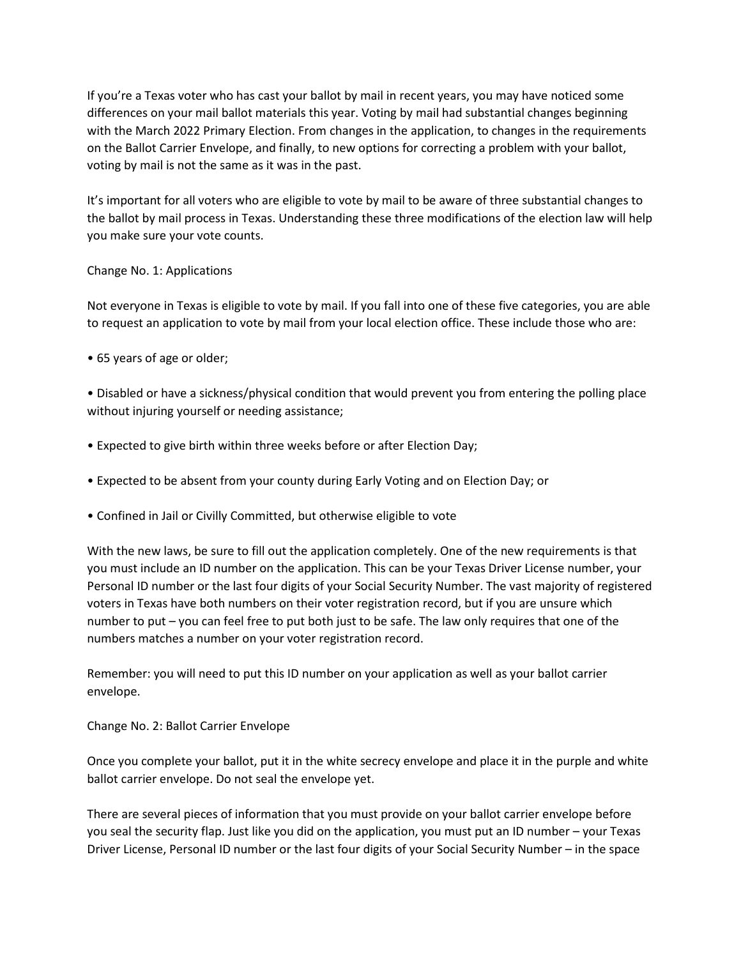If you're a Texas voter who has cast your ballot by mail in recent years, you may have noticed some differences on your mail ballot materials this year. Voting by mail had substantial changes beginning with the March 2022 Primary Election. From changes in the application, to changes in the requirements on the Ballot Carrier Envelope, and finally, to new options for correcting a problem with your ballot, voting by mail is not the same as it was in the past.

It's important for all voters who are eligible to vote by mail to be aware of three substantial changes to the ballot by mail process in Texas. Understanding these three modifications of the election law will help you make sure your vote counts.

## Change No. 1: Applications

Not everyone in Texas is eligible to vote by mail. If you fall into one of these five categories, you are able to request an application to vote by mail from your local election office. These include those who are:

• 65 years of age or older;

• Disabled or have a sickness/physical condition that would prevent you from entering the polling place without injuring yourself or needing assistance;

- Expected to give birth within three weeks before or after Election Day;
- Expected to be absent from your county during Early Voting and on Election Day; or
- Confined in Jail or Civilly Committed, but otherwise eligible to vote

With the new laws, be sure to fill out the application completely. One of the new requirements is that you must include an ID number on the application. This can be your Texas Driver License number, your Personal ID number or the last four digits of your Social Security Number. The vast majority of registered voters in Texas have both numbers on their voter registration record, but if you are unsure which number to put – you can feel free to put both just to be safe. The law only requires that one of the numbers matches a number on your voter registration record.

Remember: you will need to put this ID number on your application as well as your ballot carrier envelope.

Change No. 2: Ballot Carrier Envelope

Once you complete your ballot, put it in the white secrecy envelope and place it in the purple and white ballot carrier envelope. Do not seal the envelope yet.

There are several pieces of information that you must provide on your ballot carrier envelope before you seal the security flap. Just like you did on the application, you must put an ID number – your Texas Driver License, Personal ID number or the last four digits of your Social Security Number – in the space